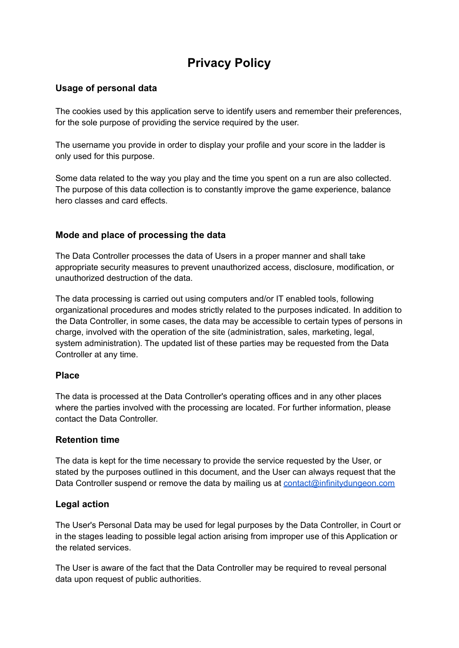# **Privacy Policy**

# **Usage of personal data**

The cookies used by this application serve to identify users and remember their preferences, for the sole purpose of providing the service required by the user.

The username you provide in order to display your profile and your score in the ladder is only used for this purpose.

Some data related to the way you play and the time you spent on a run are also collected. The purpose of this data collection is to constantly improve the game experience, balance hero classes and card effects.

# **Mode and place of processing the data**

The Data Controller processes the data of Users in a proper manner and shall take appropriate security measures to prevent unauthorized access, disclosure, modification, or unauthorized destruction of the data.

The data processing is carried out using computers and/or IT enabled tools, following organizational procedures and modes strictly related to the purposes indicated. In addition to the Data Controller, in some cases, the data may be accessible to certain types of persons in charge, involved with the operation of the site (administration, sales, marketing, legal, system administration). The updated list of these parties may be requested from the Data Controller at any time.

## **Place**

The data is processed at the Data Controller's operating offices and in any other places where the parties involved with the processing are located. For further information, please contact the Data Controller.

## **Retention time**

The data is kept for the time necessary to provide the service requested by the User, or stated by the purposes outlined in this document, and the User can always request that the Data Controller suspend or remove the data by mailing us at [contact@infinitydungeon.com](mailto:contact@infinitydungeon.com)

## **Legal action**

The User's Personal Data may be used for legal purposes by the Data Controller, in Court or in the stages leading to possible legal action arising from improper use of this Application or the related services.

The User is aware of the fact that the Data Controller may be required to reveal personal data upon request of public authorities.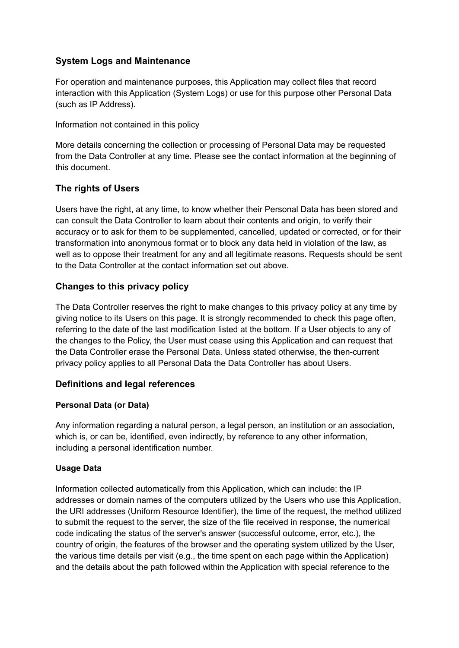# **System Logs and Maintenance**

For operation and maintenance purposes, this Application may collect files that record interaction with this Application (System Logs) or use for this purpose other Personal Data (such as IP Address).

Information not contained in this policy

More details concerning the collection or processing of Personal Data may be requested from the Data Controller at any time. Please see the contact information at the beginning of this document.

# **The rights of Users**

Users have the right, at any time, to know whether their Personal Data has been stored and can consult the Data Controller to learn about their contents and origin, to verify their accuracy or to ask for them to be supplemented, cancelled, updated or corrected, or for their transformation into anonymous format or to block any data held in violation of the law, as well as to oppose their treatment for any and all legitimate reasons. Requests should be sent to the Data Controller at the contact information set out above.

# **Changes to this privacy policy**

The Data Controller reserves the right to make changes to this privacy policy at any time by giving notice to its Users on this page. It is strongly recommended to check this page often, referring to the date of the last modification listed at the bottom. If a User objects to any of the changes to the Policy, the User must cease using this Application and can request that the Data Controller erase the Personal Data. Unless stated otherwise, the then-current privacy policy applies to all Personal Data the Data Controller has about Users.

## **Definitions and legal references**

## **Personal Data (or Data)**

Any information regarding a natural person, a legal person, an institution or an association, which is, or can be, identified, even indirectly, by reference to any other information, including a personal identification number.

## **Usage Data**

Information collected automatically from this Application, which can include: the IP addresses or domain names of the computers utilized by the Users who use this Application, the URI addresses (Uniform Resource Identifier), the time of the request, the method utilized to submit the request to the server, the size of the file received in response, the numerical code indicating the status of the server's answer (successful outcome, error, etc.), the country of origin, the features of the browser and the operating system utilized by the User, the various time details per visit (e.g., the time spent on each page within the Application) and the details about the path followed within the Application with special reference to the